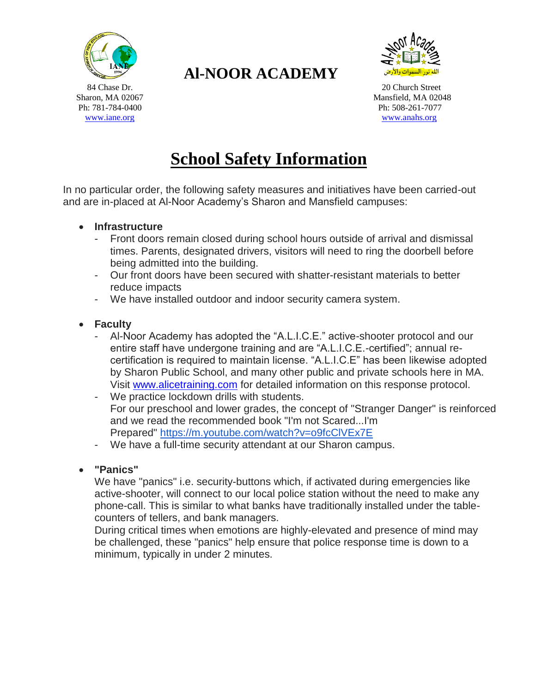

## **Al-NOOR ACADEMY**



84 Chase Dr. 20 Church Street Sharon, MA 02067 Mansfield, MA 02048 Ph: 781-784-0400 Ph: 508-261-7077 [www.iane.org](http://www.iane.org/) [www.anahs.org](http://www.anahs.org/) www.anahs.org

# **School Safety Information**

In no particular order, the following safety measures and initiatives have been carried-out and are in-placed at Al-Noor Academy's Sharon and Mansfield campuses:

- **Infrastructure**
	- Front doors remain closed during school hours outside of arrival and dismissal times. Parents, designated drivers, visitors will need to ring the doorbell before being admitted into the building.
	- Our front doors have been secured with shatter-resistant materials to better reduce impacts
	- We have installed outdoor and indoor security camera system.
- **Faculty**
	- Al-Noor Academy has adopted the "A.L.I.C.E." active-shooter protocol and our entire staff have undergone training and are "A.L.I.C.E.-certified"; annual recertification is required to maintain license. "A.L.I.C.E" has been likewise adopted by Sharon Public School, and many other public and private schools here in MA. Visit [www.alicetraining.com](http://www.alicetraining.com/) for detailed information on this response protocol.
	- We practice lockdown drills with students. For our preschool and lower grades, the concept of "Stranger Danger" is reinforced and we read the recommended book "I'm not Scared...I'm Prepared" <https://m.youtube.com/watch?v=o9fcClVEx7E>
	- We have a full-time security attendant at our Sharon campus.
- **"Panics"**

We have "panics" i.e. security-buttons which, if activated during emergencies like active-shooter, will connect to our local police station without the need to make any phone-call. This is similar to what banks have traditionally installed under the tablecounters of tellers, and bank managers.

During critical times when emotions are highly-elevated and presence of mind may be challenged, these "panics" help ensure that police response time is down to a minimum, typically in under 2 minutes.